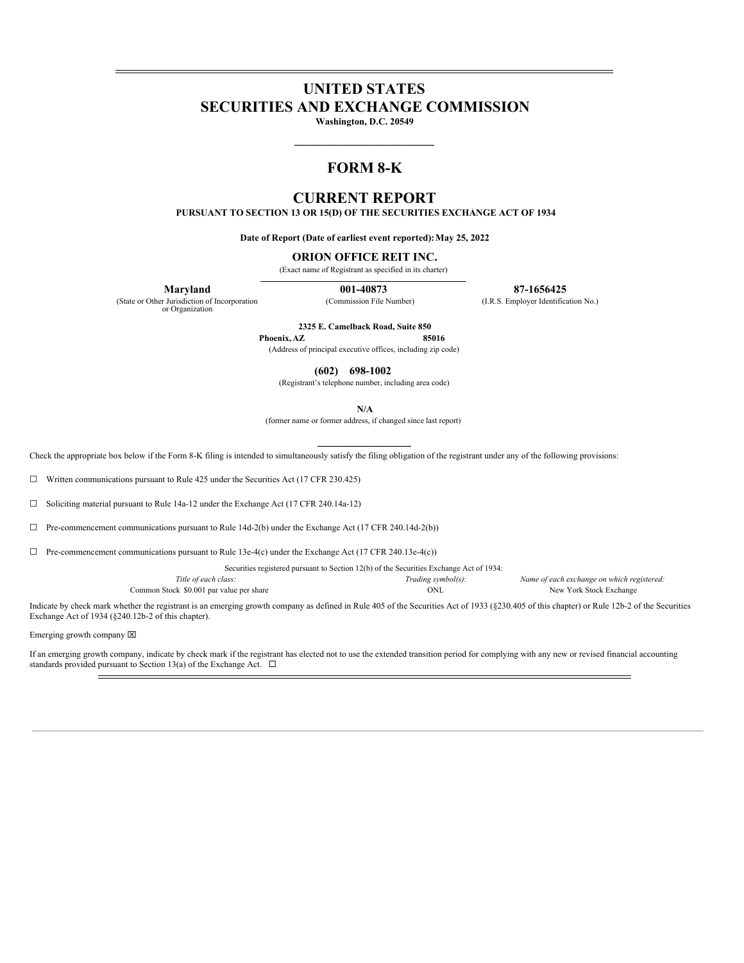# **UNITED STATES SECURITIES AND EXCHANGE COMMISSION**

**Washington, D.C. 20549 \_\_\_\_\_\_\_\_\_\_\_\_\_\_\_\_\_\_\_\_\_\_\_\_**

## **FORM 8-K**

## **CURRENT REPORT**

**PURSUANT TO SECTION 13 OR 15(D) OF THE SECURITIES EXCHANGE ACT OF 1934**

**Date of Report (Date of earliest event reported):May 25, 2022**

#### **ORION OFFICE REIT INC.**

(Exact name of Registrant as specified in its charter)

(State or Other Jurisdiction of Incorporation or Organization

**Maryland 001-40873 87-1656425**

(Commission File Number) (I.R.S. Employer Identification No.)

**2325 E. Camelback Road, Suite 850**

**Phoenix,AZ 85016** (Address of principal executive offices, including zip code)

**(602) 698-1002**

(Registrant's telephone number, including area code)

**N/A**

(former name or former address, if changed since last report)

Check the appropriate box below if the Form 8-K filing is intended to simultaneously satisfy the filing obligation of the registrant under any of the following provisions:

☐ Written communications pursuant to Rule 425 under the Securities Act (17 CFR 230.425)

☐ Soliciting material pursuant to Rule 14a-12 under the Exchange Act (17 CFR 240.14a-12)

☐ Pre-commencement communications pursuant to Rule 14d-2(b) under the Exchange Act (17 CFR 240.14d-2(b))

 $\Box$  Pre-commencement communications pursuant to Rule 13e-4(c) under the Exchange Act (17 CFR 240.13e-4(c))

Securities registered pursuant to Section 12(b) of the Securities Exchange Act of 1934:

*Title of each class: Trading symbol(s): Name of each exchange on which registered:* Common Stock \$0.001 par value per share  $ONL$  ONL New York Stock Exchange

Indicate by check mark whether the registrant is an emerging growth company as defined in Rule 405 of the Securities Act of 1933 (§230.405 of this chapter) or Rule 12b-2 of the Securities Exchange Act of 1934 (§240.12b-2 of this chapter).

Emerging growth company  $\boxtimes$ 

If an emerging growth company, indicate by check mark if the registrant has elected not to use the extended transition period for complying with any new or revised financial accounting standards provided pursuant to Section 13(a) of the Exchange Act.  $\Box$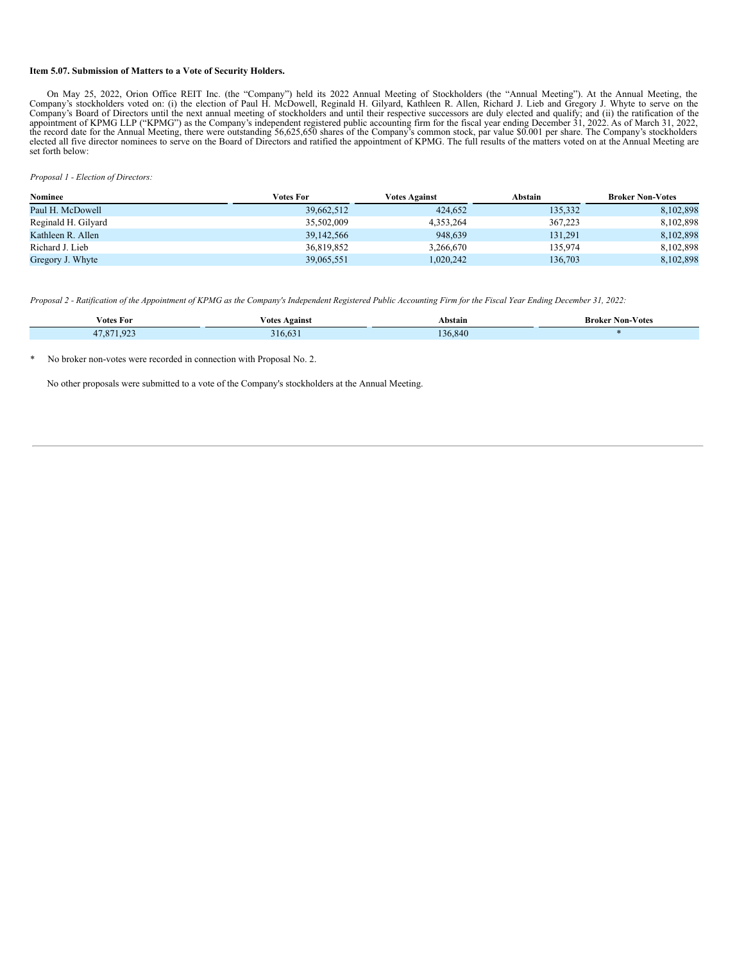#### **Item 5.07. Submission of Matters to a Vote of Security Holders.**

On May 25, 2022, Orion Office REIT Inc. (the "Company") held its 2022 Annual Meeting of Stockholders (the "Annual Meeting"). At the Annual Meeting, the Company's stockholders voted on: (i) the election of Paul H. McDowell, elected all five director nominees to serve on the Board of Directors and ratified the appointment of KPMG. The full results of the matters voted on at the Annual Meeting are set forth below:

*Proposal 1 - Election of Directors:*

| <b>Nominee</b>      | Votes For  | <b>Votes Against</b> | Abstain | <b>Broker Non-Votes</b> |
|---------------------|------------|----------------------|---------|-------------------------|
| Paul H. McDowell    | 39,662,512 | 424,652              | 135,332 | 8,102,898               |
| Reginald H. Gilyard | 35,502,009 | 4,353,264            | 367,223 | 8,102,898               |
| Kathleen R. Allen   | 39,142,566 | 948.639              | 131.291 | 8,102,898               |
| Richard J. Lieb     | 36,819,852 | 3,266,670            | 135.974 | 8,102,898               |
| Gregory J. Whyte    | 39,065,551 | .020.242             | 136.703 | 8.102.898               |

Proposal 2 - Ratification of the Appointment of KPMG as the Company's Independent Registered Public Accounting Firm for the Fiscal Year Ending December 31, 2022:

| Votes For         | V otes<br>Against | Abstain | <b>Broker Non-Votes</b> |
|-------------------|-------------------|---------|-------------------------|
| 023<br>071<br>. . | 316.63.           | 136,840 |                         |

No broker non-votes were recorded in connection with Proposal No. 2.

No other proposals were submitted to a vote of the Company's stockholders at the Annual Meeting.